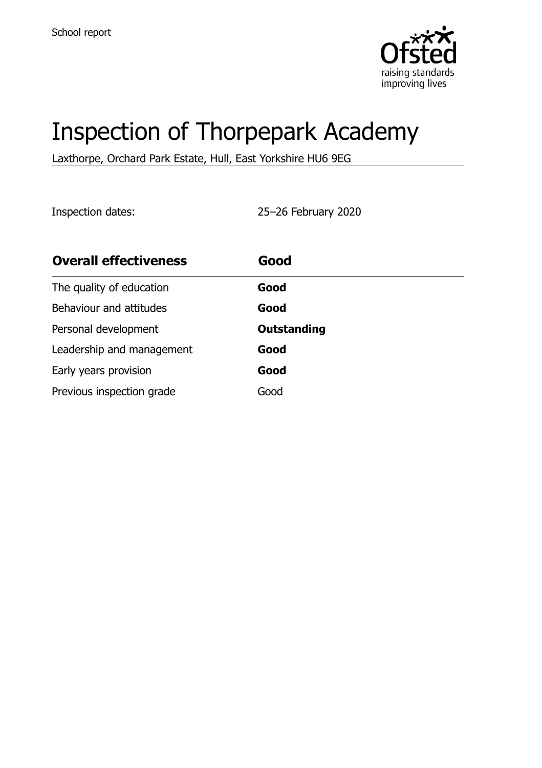

# Inspection of Thorpepark Academy

Laxthorpe, Orchard Park Estate, Hull, East Yorkshire HU6 9EG

Inspection dates: 25–26 February 2020

| <b>Overall effectiveness</b> | Good               |
|------------------------------|--------------------|
| The quality of education     | Good               |
| Behaviour and attitudes      | Good               |
| Personal development         | <b>Outstanding</b> |
| Leadership and management    | Good               |
| Early years provision        | Good               |
| Previous inspection grade    | Good               |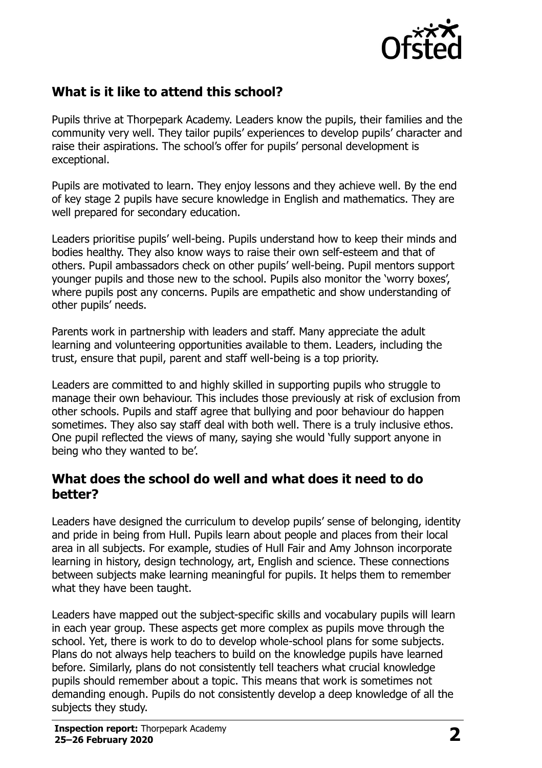

## **What is it like to attend this school?**

Pupils thrive at Thorpepark Academy. Leaders know the pupils, their families and the community very well. They tailor pupils' experiences to develop pupils' character and raise their aspirations. The school's offer for pupils' personal development is exceptional.

Pupils are motivated to learn. They enjoy lessons and they achieve well. By the end of key stage 2 pupils have secure knowledge in English and mathematics. They are well prepared for secondary education.

Leaders prioritise pupils' well-being. Pupils understand how to keep their minds and bodies healthy. They also know ways to raise their own self-esteem and that of others. Pupil ambassadors check on other pupils' well-being. Pupil mentors support younger pupils and those new to the school. Pupils also monitor the 'worry boxes', where pupils post any concerns. Pupils are empathetic and show understanding of other pupils' needs.

Parents work in partnership with leaders and staff. Many appreciate the adult learning and volunteering opportunities available to them. Leaders, including the trust, ensure that pupil, parent and staff well-being is a top priority.

Leaders are committed to and highly skilled in supporting pupils who struggle to manage their own behaviour. This includes those previously at risk of exclusion from other schools. Pupils and staff agree that bullying and poor behaviour do happen sometimes. They also say staff deal with both well. There is a truly inclusive ethos. One pupil reflected the views of many, saying she would 'fully support anyone in being who they wanted to be'.

### **What does the school do well and what does it need to do better?**

Leaders have designed the curriculum to develop pupils' sense of belonging, identity and pride in being from Hull. Pupils learn about people and places from their local area in all subjects. For example, studies of Hull Fair and Amy Johnson incorporate learning in history, design technology, art, English and science. These connections between subjects make learning meaningful for pupils. It helps them to remember what they have been taught.

Leaders have mapped out the subject-specific skills and vocabulary pupils will learn in each year group. These aspects get more complex as pupils move through the school. Yet, there is work to do to develop whole-school plans for some subjects. Plans do not always help teachers to build on the knowledge pupils have learned before. Similarly, plans do not consistently tell teachers what crucial knowledge pupils should remember about a topic. This means that work is sometimes not demanding enough. Pupils do not consistently develop a deep knowledge of all the subjects they study.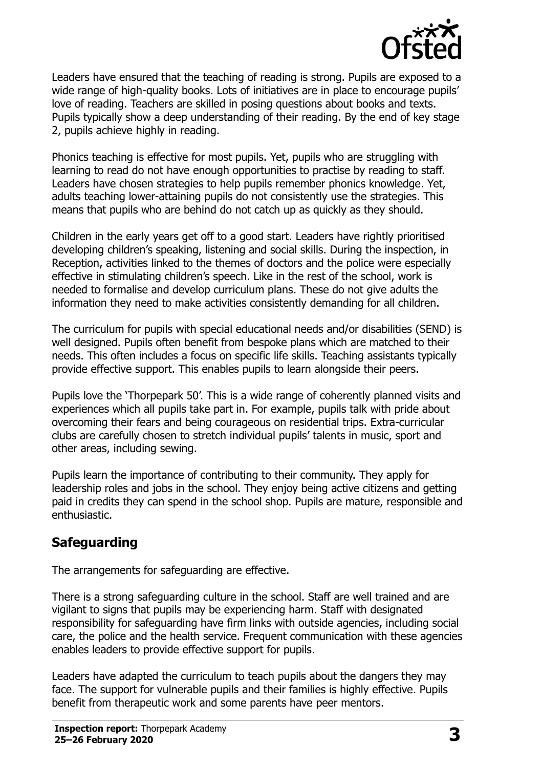

Leaders have ensured that the teaching of reading is strong. Pupils are exposed to a wide range of high-quality books. Lots of initiatives are in place to encourage pupils' love of reading. Teachers are skilled in posing questions about books and texts. Pupils typically show a deep understanding of their reading. By the end of key stage 2, pupils achieve highly in reading.

Phonics teaching is effective for most pupils. Yet, pupils who are struggling with learning to read do not have enough opportunities to practise by reading to staff. Leaders have chosen strategies to help pupils remember phonics knowledge. Yet, adults teaching lower-attaining pupils do not consistently use the strategies. This means that pupils who are behind do not catch up as quickly as they should.

Children in the early years get off to a good start. Leaders have rightly prioritised developing children's speaking, listening and social skills. During the inspection, in Reception, activities linked to the themes of doctors and the police were especially effective in stimulating children's speech. Like in the rest of the school, work is needed to formalise and develop curriculum plans. These do not give adults the information they need to make activities consistently demanding for all children.

The curriculum for pupils with special educational needs and/or disabilities (SEND) is well designed. Pupils often benefit from bespoke plans which are matched to their needs. This often includes a focus on specific life skills. Teaching assistants typically provide effective support. This enables pupils to learn alongside their peers.

Pupils love the 'Thorpepark 50'. This is a wide range of coherently planned visits and experiences which all pupils take part in. For example, pupils talk with pride about overcoming their fears and being courageous on residential trips. Extra-curricular clubs are carefully chosen to stretch individual pupils' talents in music, sport and other areas, including sewing.

Pupils learn the importance of contributing to their community. They apply for leadership roles and jobs in the school. They enjoy being active citizens and getting paid in credits they can spend in the school shop. Pupils are mature, responsible and enthusiastic.

## **Safeguarding**

The arrangements for safeguarding are effective.

There is a strong safeguarding culture in the school. Staff are well trained and are vigilant to signs that pupils may be experiencing harm. Staff with designated responsibility for safeguarding have firm links with outside agencies, including social care, the police and the health service. Frequent communication with these agencies enables leaders to provide effective support for pupils.

Leaders have adapted the curriculum to teach pupils about the dangers they may face. The support for vulnerable pupils and their families is highly effective. Pupils benefit from therapeutic work and some parents have peer mentors.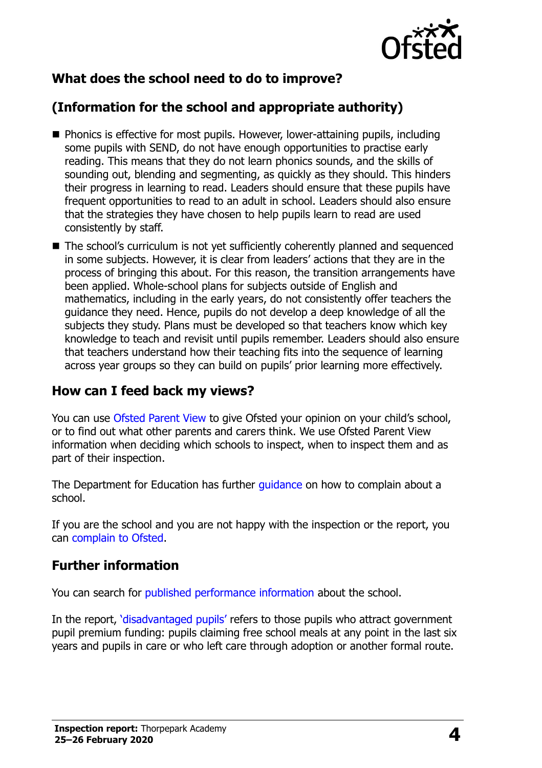

## **What does the school need to do to improve?**

## **(Information for the school and appropriate authority)**

- Phonics is effective for most pupils. However, lower-attaining pupils, including some pupils with SEND, do not have enough opportunities to practise early reading. This means that they do not learn phonics sounds, and the skills of sounding out, blending and segmenting, as quickly as they should. This hinders their progress in learning to read. Leaders should ensure that these pupils have frequent opportunities to read to an adult in school. Leaders should also ensure that the strategies they have chosen to help pupils learn to read are used consistently by staff.
- The school's curriculum is not yet sufficiently coherently planned and sequenced in some subjects. However, it is clear from leaders' actions that they are in the process of bringing this about. For this reason, the transition arrangements have been applied. Whole-school plans for subjects outside of English and mathematics, including in the early years, do not consistently offer teachers the guidance they need. Hence, pupils do not develop a deep knowledge of all the subjects they study. Plans must be developed so that teachers know which key knowledge to teach and revisit until pupils remember. Leaders should also ensure that teachers understand how their teaching fits into the sequence of learning across year groups so they can build on pupils' prior learning more effectively.

#### **How can I feed back my views?**

You can use [Ofsted Parent View](http://parentview.ofsted.gov.uk/) to give Ofsted your opinion on your child's school, or to find out what other parents and carers think. We use Ofsted Parent View information when deciding which schools to inspect, when to inspect them and as part of their inspection.

The Department for Education has further quidance on how to complain about a school.

If you are the school and you are not happy with the inspection or the report, you can [complain to Ofsted.](http://www.gov.uk/complain-ofsted-report)

### **Further information**

You can search for [published performance information](http://www.compare-school-performance.service.gov.uk/) about the school.

In the report, '[disadvantaged pupils](http://www.gov.uk/guidance/pupil-premium-information-for-schools-and-alternative-provision-settings)' refers to those pupils who attract government pupil premium funding: pupils claiming free school meals at any point in the last six years and pupils in care or who left care through adoption or another formal route.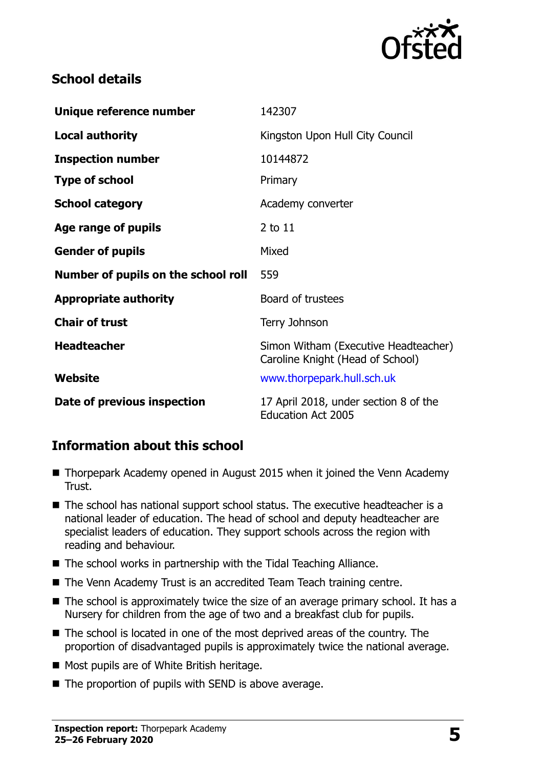

## **School details**

| Unique reference number             | 142307                                                                   |  |
|-------------------------------------|--------------------------------------------------------------------------|--|
| <b>Local authority</b>              | Kingston Upon Hull City Council                                          |  |
| <b>Inspection number</b>            | 10144872                                                                 |  |
| <b>Type of school</b>               | Primary                                                                  |  |
| <b>School category</b>              | Academy converter                                                        |  |
| Age range of pupils                 | 2 to 11                                                                  |  |
| <b>Gender of pupils</b>             | Mixed                                                                    |  |
|                                     |                                                                          |  |
| Number of pupils on the school roll | 559                                                                      |  |
| <b>Appropriate authority</b>        | Board of trustees                                                        |  |
| <b>Chair of trust</b>               | Terry Johnson                                                            |  |
| <b>Headteacher</b>                  | Simon Witham (Executive Headteacher)<br>Caroline Knight (Head of School) |  |
| Website                             | www.thorpepark.hull.sch.uk                                               |  |

## **Information about this school**

- Thorpepark Academy opened in August 2015 when it joined the Venn Academy Trust.
- The school has national support school status. The executive headteacher is a national leader of education. The head of school and deputy headteacher are specialist leaders of education. They support schools across the region with reading and behaviour.
- The school works in partnership with the Tidal Teaching Alliance.
- The Venn Academy Trust is an accredited Team Teach training centre.
- $\blacksquare$  The school is approximately twice the size of an average primary school. It has a Nursery for children from the age of two and a breakfast club for pupils.
- The school is located in one of the most deprived areas of the country. The proportion of disadvantaged pupils is approximately twice the national average.
- Most pupils are of White British heritage.
- $\blacksquare$  The proportion of pupils with SEND is above average.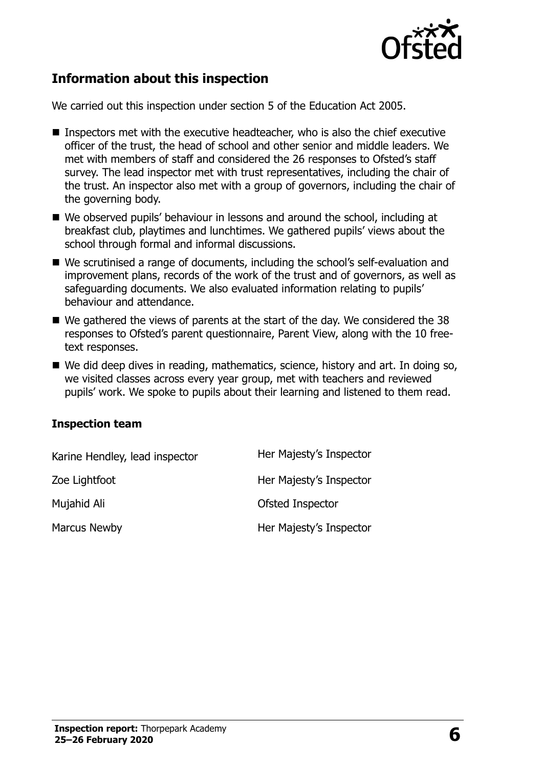

## **Information about this inspection**

We carried out this inspection under section 5 of the Education Act 2005.

- Inspectors met with the executive headteacher, who is also the chief executive officer of the trust, the head of school and other senior and middle leaders. We met with members of staff and considered the 26 responses to Ofsted's staff survey. The lead inspector met with trust representatives, including the chair of the trust. An inspector also met with a group of governors, including the chair of the governing body.
- We observed pupils' behaviour in lessons and around the school, including at breakfast club, playtimes and lunchtimes. We gathered pupils' views about the school through formal and informal discussions.
- We scrutinised a range of documents, including the school's self-evaluation and improvement plans, records of the work of the trust and of governors, as well as safeguarding documents. We also evaluated information relating to pupils' behaviour and attendance.
- We gathered the views of parents at the start of the day. We considered the 38 responses to Ofsted's parent questionnaire, Parent View, along with the 10 freetext responses.
- We did deep dives in reading, mathematics, science, history and art. In doing so, we visited classes across every year group, met with teachers and reviewed pupils' work. We spoke to pupils about their learning and listened to them read.

#### **Inspection team**

| Karine Hendley, lead inspector | Her Majesty's Inspector |
|--------------------------------|-------------------------|
| Zoe Lightfoot                  | Her Majesty's Inspector |
| Mujahid Ali                    | Ofsted Inspector        |
| Marcus Newby                   | Her Majesty's Inspector |